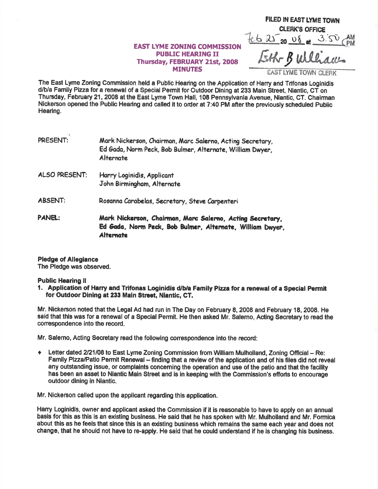## **EAST LYME ZONING COMMISSION** PUBIIC HEARING II Thusday, FEBRUARY 21st, 2008 MINUTES

CLERK'S OFFICE  $46252008$  $3.50$ **the B William.** 

FILED IN EAST LYME TOWN

The East Lyme Zoning Commission held a Public Hearing on the Application of Harry and Trifonas Loginidis d/b/a Family Pizza for a renewal of a Special Permit for Outdoor Dlning at 233 Main Street, Niantic, CT on Thursday, February 21, 2008 at the East Lyme Town Hall, 108 Pennsylvania Avenue, Niantic, CT. Chairman Nickerson opened the Public Hearing and called it to oder at 7:40 PM afterthe previously scheduled Public Hearing.

| PRESENT:      | Mark Nickerson, Chairman, Marc Salerno, Acting Secretary,<br>Ed Gada, Norm Peck, Bob Bulmer, Alternate, William Dwyer,<br>Alternate        |
|---------------|--------------------------------------------------------------------------------------------------------------------------------------------|
| ALSO PRESENT: | Harry Loginidis, Applicant<br>John Birmingham, Alternate                                                                                   |
| ABSENT:       | Rosanna Carabelas, Secretary, Steve Carpenteri                                                                                             |
| PANEL:        | Mark Nickerson, Chairman, Marc Salerno, Acting Secretary,<br>Ed Gada, Norm Peck, Bob Bulmer, Alternate, William Dwyer,<br><b>Alternate</b> |

## Pledge of Allegiance

The Pledge was obserued.

Public Hearing II<br>1. Application of Harry and Trifonas Loginidis d/b/a Family Pizza for a renewal of a Special Permit for Outdoor Dining at 233 Main Street, Niantic, CT.

Mr. Nickerson noted that the Legal Ad had run in The Day on February E, 2008 and February 18, 2008. He said that this was for a renewal of a Special Permit. He then asked Mr. Salerno, Acting Secretary to read the conespondence into the record.

Mr. Salerno, Acting Secretary read the following correspondence into the record:

+ Letter dated 2/21/08 to East Lyme Zoning Commission from William Mulholland, Zoning Official - Re: Family Pizza/Patio Permit Renewal - finding that a review of the application and of his files did not reveal any outstanding issue, or complaints conceming the operation and use of the patio and that the facility has been an asset to Nlantic Main Street and is in keeping with the Comrnlssion's efforts to encourage outdoor dining in Niantic.

Mr. Nickerson called upon the applicant regarding this application.

Harry Loginidis, owner and applicant asked the Commission if it is reasonable to have to apply on an annual basis for this as thls is an existing business. He said thet he has spoken wlth Mr. Mulholland and Mr. Formlce about this as he feels that since this is an existing business which remains the same each year and does not change, that he should not have to re-apply. He sald that he could understand if he is changing his business.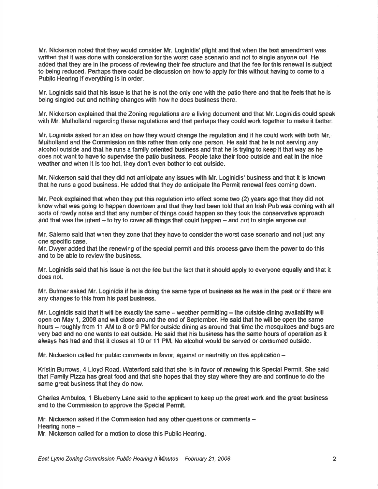Mr. Nickerson noted that they would oonsider Mr. Loginidis' plight and that when the text amendment was written that it was done with consideration for the worst case scenario and not to single anyone out. He added that they are in the process of reviewing their fee structure and that the fee forthis renewal is subject to being reduced. Perhaps there could be discussion on how to apply for this without having to come to a Public Hearing if everything is in order.

Mr. Loginidis said that his issue is that he is not the only one with the patio there and that he feels that he is being singled out and nothing changes with how he does business there.

Mr. Nickerson explained that the Zoning regulations are a living document and that Mr. Loginidis could speak with Mr. Mulholland regarding these regulations and that perhaps they could work together to make it better.

Mr. Loginidis asked for an idea on how they would change the regulation and if he could work with both Mr. Mulholland and the Commission on this rather than only one person. He said that he is not serving any alcohol outside and that he runs a family oriented business and that he is trying to keep it that way as he does not want to have to supervise the patio business. People take their food outside and eat in the nice weather and when it is too hot, they don't even bother to eat outside.

Mr. Nickerson said that they did not anticipate any issues with Mr. Loginidls' business and that it is known that he runs a good business. He added that they do anticipate the Permit renewal fees coming down.

Mr. Peck explained that when they put this regulation into effect some two  $(2)$  years ago that they did not know what was going to happen downtown and that they had been told that an Irish Pub was coming with all sorts of rowdy noise and that any number of things could happen so they took the conservative approach and that was the intent  $-$  to try to cover all things that could happen  $-$  and not to single anyone out.

Mr. Salerno said that when they zone that they have to consider the worst case scenario and not just any one specific case.

Mr. Dwyer added that the renewing of the special permit and this process gave them the power to do this and to be able to review the business.

Mr. Loginidis said that his lssue is not the fee but the fact that it should apply to everyone equally and that it does not.

Mr. Bulmer asked Mr. Loginidis if he is doing the same type of business as he was in the past or if there are any changes to this from his past business.

Mr. Loginidis said that it will be exactly the same – weather permitting – the outside dining availability will open on May 1, 2008 and will close around the end of September. He said that he will be open the same hours - roughly from 11 AM to 8 or 9 PM for outside dining as around that time the mosquitoes and bugs are very bad and no one wants to eat outside. He said that his business has the same hours of operation as it always has had and that it closes at 10 or 11 PM. No alcohol would be served or consumed outside.

Mr. Nickerson called for public comments in favor, against or neutrally on this application  $-$ 

Kristin Burrows, 4 Lloyd Road, Waterford said that she is in favor of renewing this Special Permit. She said that Family Pizza has great food and that she hopes that they stay where they are and continue to do the same great business that they do now.

Charles Ambulos, 1 Blueberry Lane said to the applicant to keep up the great work and the great business and to the Commission to approve the Special Permit.

Mr. Nickerson asked if the Commission had any other questions or comments -Hearing none  $-$ 

Mr. Nickerson called for a motion to close this Public Hearing.